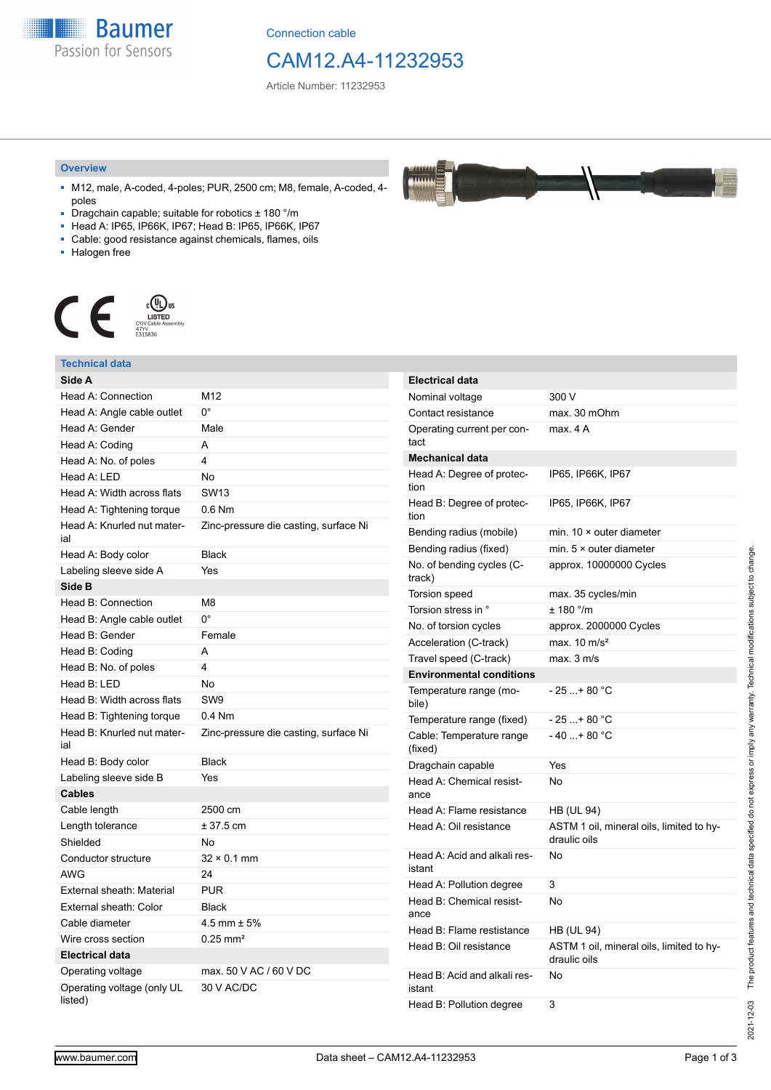**Baumer** Passion for Sensors

Connection cable

## CAM12.A4-11232953

Article Number: 11232953

#### **Overview**

- M12, male, A-coded, 4-poles; PUR, 2500 cm; M8, female, A-coded, 4 poles
- Dragchain capable; suitable for robotics ± 180 °/m
- Head A: IP65, IP66K, IP67; Head B: IP65, IP66K, IP67
- Cable: good resistance against chemicals, flames, oils
- Halogen free



### **Technical data**

| Side A                                |                                       |
|---------------------------------------|---------------------------------------|
| <b>Head A: Connection</b>             | M12                                   |
| Head A: Angle cable outlet            | 0°                                    |
| Head A: Gender                        | Male                                  |
| Head A: Coding                        | А                                     |
| Head A: No. of poles                  | 4                                     |
| Head A: LED                           | <b>No</b>                             |
| Head A: Width across flats            | <b>SW13</b>                           |
| Head A: Tightening torque             | $0.6$ Nm                              |
| Head A: Knurled nut mater-<br>ial     | Zinc-pressure die casting, surface Ni |
| Head A: Body color                    | <b>Black</b>                          |
| Labeling sleeve side A                | Yes                                   |
| Side B                                |                                       |
| Head B: Connection                    | M8                                    |
| Head B: Angle cable outlet            | 0°                                    |
| Head B: Gender                        | Female                                |
| Head B: Coding                        | А                                     |
| Head B: No. of poles                  | 4                                     |
| Head B: LED                           | No                                    |
| Head B: Width across flats            | SW <sub>9</sub>                       |
| Head B: Tightening torque             | $0.4$ Nm                              |
| Head B: Knurled nut mater-<br>ial     | Zinc-pressure die casting, surface Ni |
| Head B: Body color                    | <b>Black</b>                          |
| Labeling sleeve side B                | Yes                                   |
| <b>Cables</b>                         |                                       |
| Cable length                          | 2500 cm                               |
| Length tolerance                      | $± 37.5$ cm                           |
| Shielded                              | No                                    |
| Conductor structure                   | $32 \times 0.1$ mm                    |
| <b>AWG</b>                            | 24                                    |
| External sheath: Material             | <b>PUR</b>                            |
| External sheath: Color                | <b>Black</b>                          |
| Cable diameter                        | $4.5$ mm $\pm$ 5%                     |
| Wire cross section                    | $0.25 \text{ mm}^2$                   |
| <b>Electrical data</b>                |                                       |
| Operating voltage                     | max, 50 V AC / 60 V DC                |
| Operating voltage (only UL<br>listed) | 30 V AC/DC                            |



| <b>Electrical data</b>                 |                                                          |
|----------------------------------------|----------------------------------------------------------|
| Nominal voltage                        | 300 V                                                    |
| Contact resistance                     | max. 30 mOhm                                             |
| Operating current per con-<br>tact     | max 4 A                                                  |
| <b>Mechanical data</b>                 |                                                          |
| Head A: Degree of protec-<br>tion      | IP65, IP66K, IP67                                        |
| Head B: Degree of protec-<br>tion      | IP65, IP66K, IP67                                        |
| Bending radius (mobile)                | min. $10 \times$ outer diameter                          |
| Bending radius (fixed)                 | min. $5 \times$ outer diameter                           |
| No. of bending cycles (C-<br>track)    | approx. 10000000 Cycles                                  |
| <b>Torsion speed</b>                   | max. 35 cycles/min                                       |
| Torsion stress in °                    | $± 180$ °/m                                              |
| No. of torsion cycles                  | approx. 2000000 Cycles                                   |
| Acceleration (C-track)                 | max. $10 \text{ m/s}^2$                                  |
| Travel speed (C-track)                 | max. 3 m/s                                               |
| <b>Environmental conditions</b>        |                                                          |
| Temperature range (mo-<br>bile)        | $-25+80 °C$                                              |
| Temperature range (fixed)              | - 25 + 80 °C                                             |
| Cable: Temperature range<br>(fixed)    | $-40+80 °C$                                              |
| Dragchain capable                      | Yes                                                      |
| Head A: Chemical resist-<br>ance       | No                                                       |
| Head A: Flame resistance               | HB (UL 94)                                               |
| Head A: Oil resistance                 | ASTM 1 oil, mineral oils, limited to hy-<br>draulic oils |
| Head A: Acid and alkali res-<br>istant | No                                                       |
| Head A: Pollution degree               | 3                                                        |
| Head B: Chemical resist-<br>ance       | No                                                       |
| Head B: Flame restistance              | HB (UL 94)                                               |
| Head B: Oil resistance                 | ASTM 1 oil, mineral oils, limited to hy-<br>draulic oils |
| Head B: Acid and alkali res-<br>istant | No                                                       |
| Head B: Pollution degree               | 3                                                        |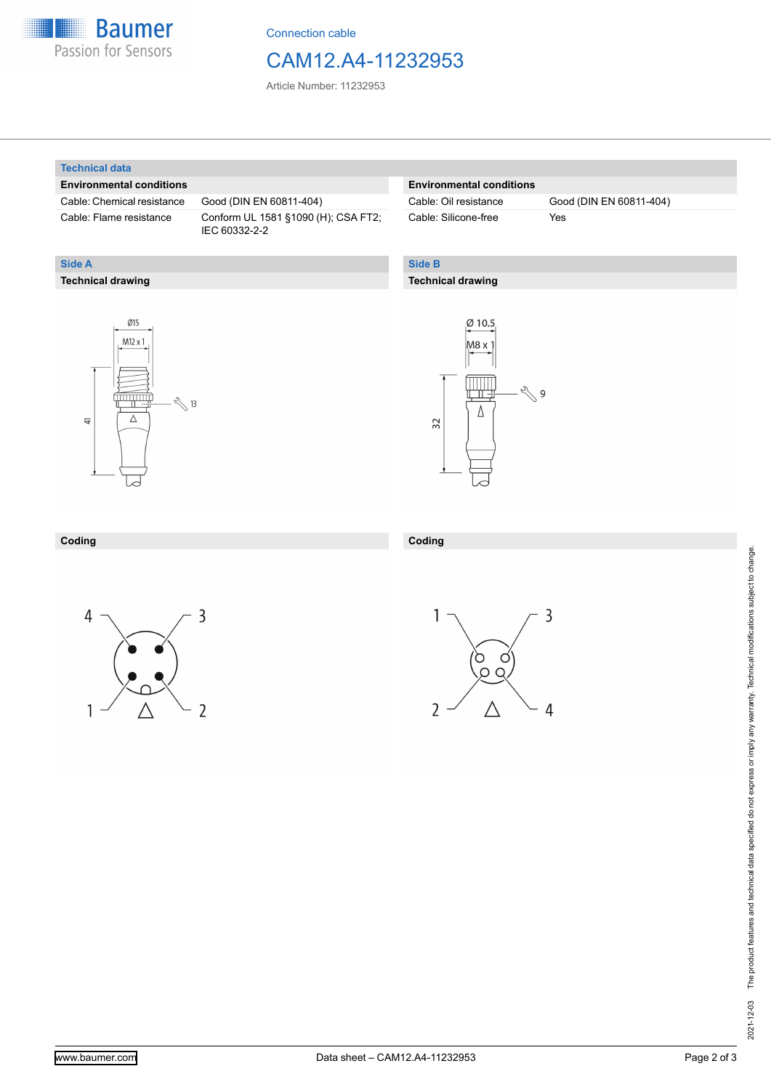

Connection cable

### CAM12.A4-11232953

Article Number: 11232953

#### **Technical data**

**Technical drawing**

**Side A**

#### **Environmental conditions**

Cable: Chemical resistance Good (DIN EN 60811-404)

Cable: Flame resistance Conform UL 1581 §1090 (H); CSA FT2; IEC 60332-2-2

#### **Environmental conditions**

Cable: Silicone-free Yes

Cable: Oil resistance Good (DIN EN 60811-404)

#### **Side B**

**Coding**

#### **Technical drawing**





### **Coding**